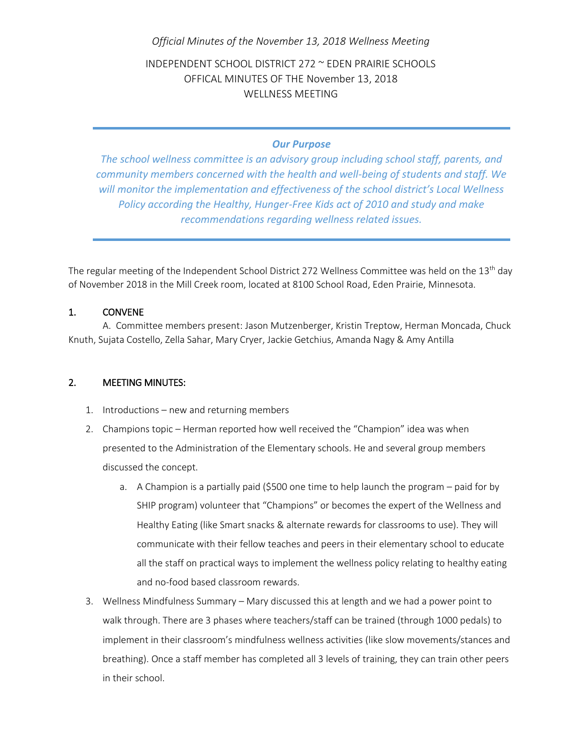## *Official Minutes of the November 13, 2018 Wellness Meeting*

INDEPENDENT SCHOOL DISTRICT 272 ~ EDEN PRAIRIE SCHOOLS OFFICAL MINUTES OF THE November 13, 2018 WELLNESS MEETING

## *Our Purpose*

*The school wellness committee is an advisory group including school staff, parents, and community members concerned with the health and well-being of students and staff. We will monitor the implementation and effectiveness of the school district's Local Wellness Policy according the Healthy, Hunger-Free Kids act of 2010 and study and make recommendations regarding wellness related issues.*

The regular meeting of the Independent School District 272 Wellness Committee was held on the 13<sup>th</sup> day of November 2018 in the Mill Creek room, located at 8100 School Road, Eden Prairie, Minnesota.

## 1. CONVENE

A. Committee members present: Jason Mutzenberger, Kristin Treptow, Herman Moncada, Chuck Knuth, Sujata Costello, Zella Sahar, Mary Cryer, Jackie Getchius, Amanda Nagy & Amy Antilla

## 2. MEETING MINUTES:

- 1. Introductions new and returning members
- 2. Champions topic Herman reported how well received the "Champion" idea was when presented to the Administration of the Elementary schools. He and several group members discussed the concept.
	- a. A Champion is a partially paid (\$500 one time to help launch the program paid for by SHIP program) volunteer that "Champions" or becomes the expert of the Wellness and Healthy Eating (like Smart snacks & alternate rewards for classrooms to use). They will communicate with their fellow teaches and peers in their elementary school to educate all the staff on practical ways to implement the wellness policy relating to healthy eating and no-food based classroom rewards.
- 3. Wellness Mindfulness Summary Mary discussed this at length and we had a power point to walk through. There are 3 phases where teachers/staff can be trained (through 1000 pedals) to implement in their classroom's mindfulness wellness activities (like slow movements/stances and breathing). Once a staff member has completed all 3 levels of training, they can train other peers in their school.